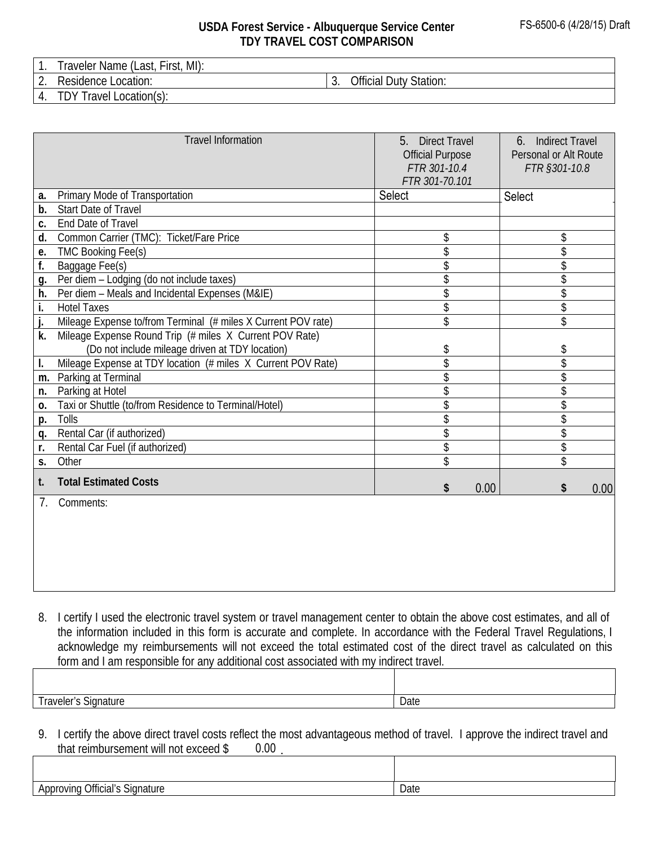## **USDA Forest Service - Albuquerque Service Center TDY TRAVEL COST COMPARISON**

1. Traveler Name (Last, First, MI):

2. Residence Location:  $\begin{vmatrix} 3. & \text{Official Duty Station:} \end{vmatrix}$ 

4. TDY Travel Location(s):

|            | <b>Travel Information</b>                                     | 5 <sub>1</sub><br><b>Direct Travel</b><br><b>Official Purpose</b><br>FTR 301-10.4<br>FTR 301-70.101 | <b>Indirect Travel</b><br>6.<br>Personal or Alt Route<br>FTR §301-10.8 |
|------------|---------------------------------------------------------------|-----------------------------------------------------------------------------------------------------|------------------------------------------------------------------------|
| a.         | Primary Mode of Transportation                                | Select                                                                                              | Select                                                                 |
| b.         | <b>Start Date of Travel</b>                                   |                                                                                                     |                                                                        |
| C.         | End Date of Travel                                            |                                                                                                     |                                                                        |
| d.         | Common Carrier (TMC): Ticket/Fare Price                       | \$                                                                                                  | \$                                                                     |
| e.         | <b>TMC Booking Fee(s)</b>                                     | \$                                                                                                  | \$                                                                     |
| f.         | Baggage Fee(s)                                                | \$                                                                                                  | \$                                                                     |
| <b>g</b> . | Per diem - Lodging (do not include taxes)                     | \$                                                                                                  | \$                                                                     |
| h.         | Per diem - Meals and Incidental Expenses (M&IE)               | \$                                                                                                  | \$                                                                     |
| i.         | <b>Hotel Taxes</b>                                            | \$                                                                                                  | \$                                                                     |
| j.         | Mileage Expense to/from Terminal (# miles X Current POV rate) | \$                                                                                                  | \$                                                                     |
| k.         | Mileage Expense Round Trip (# miles X Current POV Rate)       |                                                                                                     |                                                                        |
|            | (Do not include mileage driven at TDY location)               | \$                                                                                                  | \$                                                                     |
| I.         | Mileage Expense at TDY location (# miles X Current POV Rate)  | \$                                                                                                  | \$                                                                     |
| m.         | Parking at Terminal                                           |                                                                                                     | $\overline{\$}$                                                        |
| n.         | Parking at Hotel                                              | \$                                                                                                  | \$                                                                     |
| 0.         | Taxi or Shuttle (to/from Residence to Terminal/Hotel)         | \$                                                                                                  | \$                                                                     |
| p.         | Tolls                                                         | \$                                                                                                  | \$                                                                     |
| q.         | Rental Car (if authorized)                                    | \$                                                                                                  | \$                                                                     |
| r.         | Rental Car Fuel (if authorized)                               | \$                                                                                                  | \$                                                                     |
| S.         | Other                                                         | \$                                                                                                  | \$                                                                     |
| t.         | <b>Total Estimated Costs</b>                                  | 0.00<br>\$                                                                                          | \$<br>0.00                                                             |
| 7.         | Comments:                                                     |                                                                                                     |                                                                        |
|            |                                                               |                                                                                                     |                                                                        |

8. I certify I used the electronic travel system or travel management center to obtain the above cost estimates, and all of the information included in this form is accurate and complete. In accordance with the Federal Travel Regulations, I acknowledge my reimbursements will not exceed the total estimated cost of the direct travel as calculated on this form and I am responsible for any additional cost associated with my indirect travel.

Traveler's Signature Date

9. I certify the above direct travel costs reflect the most advantageous method of travel. I approve the indirect travel and that reimbursement will not exceed \$  $0.00$  .

Approving Official's Signature Date